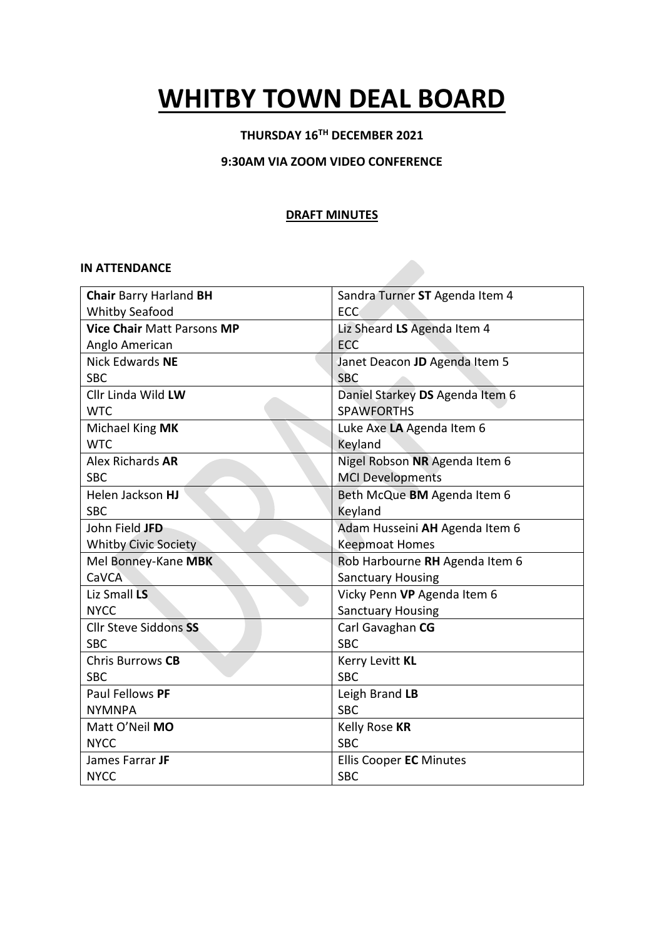# **WHITBY TOWN DEAL BOARD**

## **THURSDAY 16TH DECEMBER 2021**

#### **9:30AM VIA ZOOM VIDEO CONFERENCE**

#### **DRAFT MINUTES**

#### **IN ATTENDANCE**

| <b>Chair Barry Harland BH</b>     | Sandra Turner ST Agenda Item 4  |
|-----------------------------------|---------------------------------|
| <b>Whitby Seafood</b>             | <b>ECC</b>                      |
| <b>Vice Chair Matt Parsons MP</b> | Liz Sheard LS Agenda Item 4     |
| Anglo American                    | ECC                             |
| Nick Edwards NE                   | Janet Deacon JD Agenda Item 5   |
| <b>SBC</b>                        | <b>SBC</b>                      |
| Cllr Linda Wild LW                | Daniel Starkey DS Agenda Item 6 |
| <b>WTC</b>                        | <b>SPAWFORTHS</b>               |
| Michael King MK                   | Luke Axe LA Agenda Item 6       |
| <b>WTC</b>                        | Keyland                         |
| Alex Richards AR                  | Nigel Robson NR Agenda Item 6   |
| <b>SBC</b>                        | <b>MCI Developments</b>         |
| Helen Jackson HJ                  | Beth McQue BM Agenda Item 6     |
| <b>SBC</b>                        | Keyland                         |
| John Field JFD                    | Adam Husseini AH Agenda Item 6  |
| <b>Whitby Civic Society</b>       | <b>Keepmoat Homes</b>           |
| Mel Bonney-Kane MBK               | Rob Harbourne RH Agenda Item 6  |
| CaVCA                             | <b>Sanctuary Housing</b>        |
| Liz Small LS                      | Vicky Penn VP Agenda Item 6     |
| <b>NYCC</b>                       | <b>Sanctuary Housing</b>        |
| <b>Cllr Steve Siddons SS</b>      | Carl Gavaghan CG                |
| <b>SBC</b>                        | <b>SBC</b>                      |
| Chris Burrows CB                  | Kerry Levitt KL                 |
| <b>SBC</b>                        | <b>SBC</b>                      |
| Paul Fellows PF                   | Leigh Brand LB                  |
| <b>NYMNPA</b>                     | <b>SBC</b>                      |
| Matt O'Neil MO                    | Kelly Rose KR                   |
| <b>NYCC</b>                       | <b>SBC</b>                      |
| James Farrar JF                   | <b>Ellis Cooper EC Minutes</b>  |
| <b>NYCC</b>                       | <b>SBC</b>                      |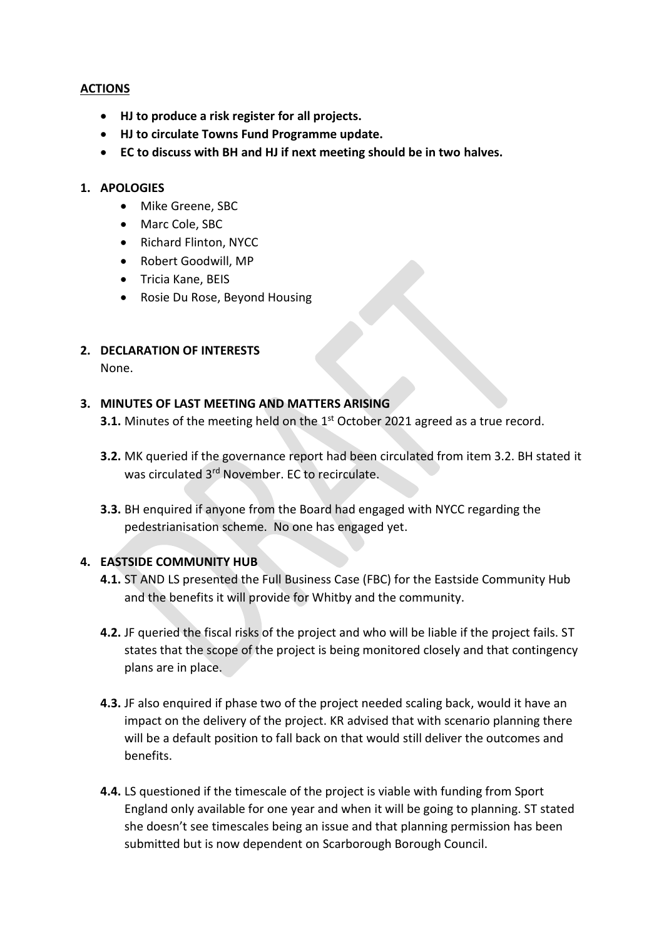## **ACTIONS**

- **HJ to produce a risk register for all projects.**
- **HJ to circulate Towns Fund Programme update.**
- **EC to discuss with BH and HJ if next meeting should be in two halves.**

#### **1. APOLOGIES**

- Mike Greene, SBC
- Marc Cole, SBC
- Richard Flinton, NYCC
- Robert Goodwill, MP
- Tricia Kane, BEIS
- Rosie Du Rose, Beyond Housing

## **2. DECLARATION OF INTERESTS**

None.

## **3. MINUTES OF LAST MEETING AND MATTERS ARISING**

**3.1.** Minutes of the meeting held on the 1<sup>st</sup> October 2021 agreed as a true record.

- **3.2.** MK queried if the governance report had been circulated from item 3.2. BH stated it was circulated 3<sup>rd</sup> November. EC to recirculate.
- **3.3.** BH enquired if anyone from the Board had engaged with NYCC regarding the pedestrianisation scheme. No one has engaged yet.

## **4. EASTSIDE COMMUNITY HUB**

- **4.1.** ST AND LS presented the Full Business Case (FBC) for the Eastside Community Hub and the benefits it will provide for Whitby and the community.
- **4.2.** JF queried the fiscal risks of the project and who will be liable if the project fails. ST states that the scope of the project is being monitored closely and that contingency plans are in place.
- **4.3.** JF also enquired if phase two of the project needed scaling back, would it have an impact on the delivery of the project. KR advised that with scenario planning there will be a default position to fall back on that would still deliver the outcomes and benefits.
- **4.4.** LS questioned if the timescale of the project is viable with funding from Sport England only available for one year and when it will be going to planning. ST stated she doesn't see timescales being an issue and that planning permission has been submitted but is now dependent on Scarborough Borough Council.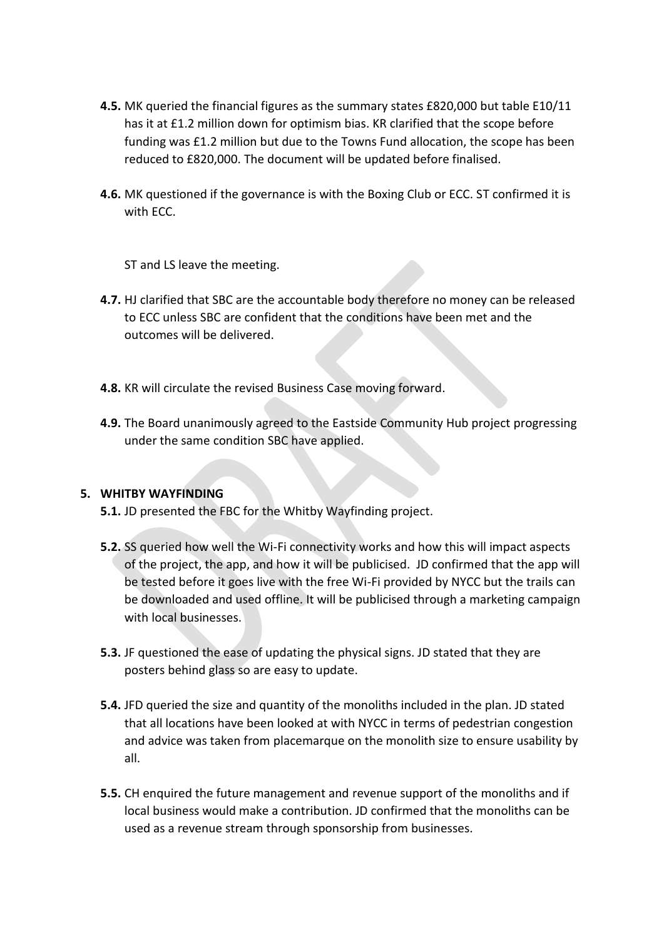- **4.5.** MK queried the financial figures as the summary states £820,000 but table E10/11 has it at £1.2 million down for optimism bias. KR clarified that the scope before funding was £1.2 million but due to the Towns Fund allocation, the scope has been reduced to £820,000. The document will be updated before finalised.
- **4.6.** MK questioned if the governance is with the Boxing Club or ECC. ST confirmed it is with ECC.

ST and LS leave the meeting.

- **4.7.** HJ clarified that SBC are the accountable body therefore no money can be released to ECC unless SBC are confident that the conditions have been met and the outcomes will be delivered.
- **4.8.** KR will circulate the revised Business Case moving forward.
- **4.9.** The Board unanimously agreed to the Eastside Community Hub project progressing under the same condition SBC have applied.

#### **5. WHITBY WAYFINDING**

- **5.1.** JD presented the FBC for the Whitby Wayfinding project.
- **5.2.** SS queried how well the Wi-Fi connectivity works and how this will impact aspects of the project, the app, and how it will be publicised. JD confirmed that the app will be tested before it goes live with the free Wi-Fi provided by NYCC but the trails can be downloaded and used offline. It will be publicised through a marketing campaign with local businesses.
- **5.3.** JF questioned the ease of updating the physical signs. JD stated that they are posters behind glass so are easy to update.
- **5.4.** JFD queried the size and quantity of the monoliths included in the plan. JD stated that all locations have been looked at with NYCC in terms of pedestrian congestion and advice was taken from placemarque on the monolith size to ensure usability by all.
- **5.5.** CH enquired the future management and revenue support of the monoliths and if local business would make a contribution. JD confirmed that the monoliths can be used as a revenue stream through sponsorship from businesses.